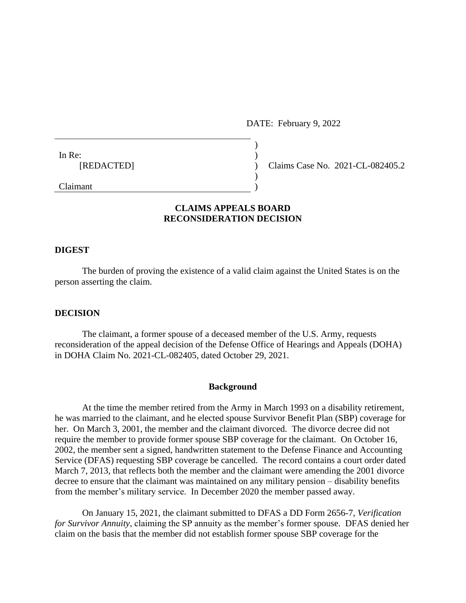DATE: February 9, 2022

| In Re:     |                |
|------------|----------------|
| [REDACTED] |                |
|            |                |
| ____       | <b>Section</b> |

Claims Case No. 2021-CL-082405.2

# Claimant )

# **CLAIMS APPEALS BOARD RECONSIDERATION DECISION**

#### **DIGEST**

The burden of proving the existence of a valid claim against the United States is on the person asserting the claim.

## **DECISION**

The claimant, a former spouse of a deceased member of the U.S. Army, requests reconsideration of the appeal decision of the Defense Office of Hearings and Appeals (DOHA) in DOHA Claim No. 2021-CL-082405, dated October 29, 2021.

## **Background**

At the time the member retired from the Army in March 1993 on a disability retirement, he was married to the claimant, and he elected spouse Survivor Benefit Plan (SBP) coverage for her. On March 3, 2001, the member and the claimant divorced. The divorce decree did not require the member to provide former spouse SBP coverage for the claimant. On October 16, 2002, the member sent a signed, handwritten statement to the Defense Finance and Accounting Service (DFAS) requesting SBP coverage be cancelled. The record contains a court order dated March 7, 2013, that reflects both the member and the claimant were amending the 2001 divorce decree to ensure that the claimant was maintained on any military pension – disability benefits from the member's military service. In December 2020 the member passed away.

On January 15, 2021, the claimant submitted to DFAS a DD Form 2656-7, *Verification for Survivor Annuity*, claiming the SP annuity as the member's former spouse. DFAS denied her claim on the basis that the member did not establish former spouse SBP coverage for the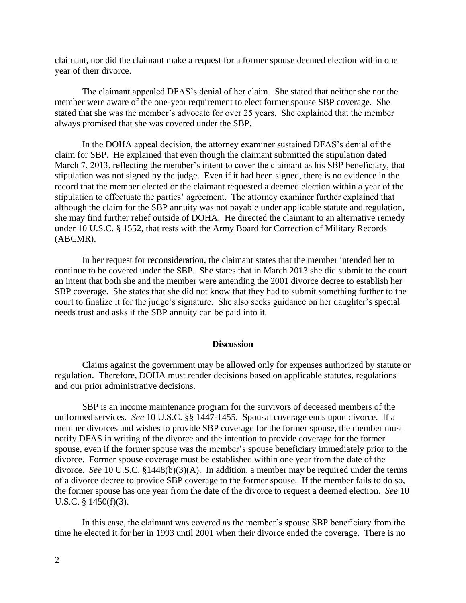claimant, nor did the claimant make a request for a former spouse deemed election within one year of their divorce.

The claimant appealed DFAS's denial of her claim. She stated that neither she nor the member were aware of the one-year requirement to elect former spouse SBP coverage. She stated that she was the member's advocate for over 25 years. She explained that the member always promised that she was covered under the SBP.

In the DOHA appeal decision, the attorney examiner sustained DFAS's denial of the claim for SBP. He explained that even though the claimant submitted the stipulation dated March 7, 2013, reflecting the member's intent to cover the claimant as his SBP beneficiary, that stipulation was not signed by the judge. Even if it had been signed, there is no evidence in the record that the member elected or the claimant requested a deemed election within a year of the stipulation to effectuate the parties' agreement. The attorney examiner further explained that although the claim for the SBP annuity was not payable under applicable statute and regulation, she may find further relief outside of DOHA. He directed the claimant to an alternative remedy under 10 U.S.C. § 1552, that rests with the Army Board for Correction of Military Records (ABCMR).

In her request for reconsideration, the claimant states that the member intended her to continue to be covered under the SBP. She states that in March 2013 she did submit to the court an intent that both she and the member were amending the 2001 divorce decree to establish her SBP coverage. She states that she did not know that they had to submit something further to the court to finalize it for the judge's signature. She also seeks guidance on her daughter's special needs trust and asks if the SBP annuity can be paid into it.

#### **Discussion**

Claims against the government may be allowed only for expenses authorized by statute or regulation. Therefore, DOHA must render decisions based on applicable statutes, regulations and our prior administrative decisions.

SBP is an income maintenance program for the survivors of deceased members of the uniformed services. *See* 10 U.S.C. §§ 1447-1455. Spousal coverage ends upon divorce. If a member divorces and wishes to provide SBP coverage for the former spouse, the member must notify DFAS in writing of the divorce and the intention to provide coverage for the former spouse, even if the former spouse was the member's spouse beneficiary immediately prior to the divorce. Former spouse coverage must be established within one year from the date of the divorce. *See* 10 U.S.C. §1448(b)(3)(A). In addition, a member may be required under the terms of a divorce decree to provide SBP coverage to the former spouse. If the member fails to do so, the former spouse has one year from the date of the divorce to request a deemed election. *See* 10 U.S.C. § 1450(f)(3).

In this case, the claimant was covered as the member's spouse SBP beneficiary from the time he elected it for her in 1993 until 2001 when their divorce ended the coverage. There is no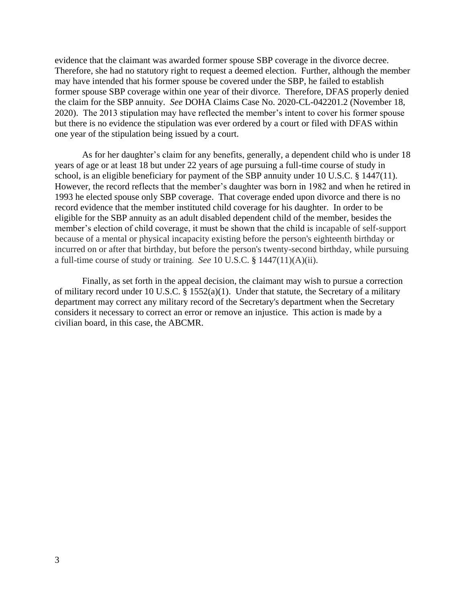evidence that the claimant was awarded former spouse SBP coverage in the divorce decree. Therefore, she had no statutory right to request a deemed election. Further, although the member may have intended that his former spouse be covered under the SBP, he failed to establish former spouse SBP coverage within one year of their divorce. Therefore, DFAS properly denied the claim for the SBP annuity. *See* DOHA Claims Case No. 2020-CL-042201.2 (November 18, 2020). The 2013 stipulation may have reflected the member's intent to cover his former spouse but there is no evidence the stipulation was ever ordered by a court or filed with DFAS within one year of the stipulation being issued by a court.

As for her daughter's claim for any benefits, generally, a dependent child who is under 18 years of age or at least 18 but under 22 years of age pursuing a full-time course of study in school, is an eligible beneficiary for payment of the SBP annuity under 10 U.S.C. § 1447(11). However, the record reflects that the member's daughter was born in 1982 and when he retired in 1993 he elected spouse only SBP coverage. That coverage ended upon divorce and there is no record evidence that the member instituted child coverage for his daughter. In order to be eligible for the SBP annuity as an adult disabled dependent child of the member, besides the member's election of child coverage, it must be shown that the child is incapable of self-support because of a mental or physical incapacity existing before the person's eighteenth birthday or incurred on or after that birthday, but before the person's twenty-second birthday, while pursuing a full-time course of study or training. *See* 10 U.S.C. § 1447(11)(A)(ii).

Finally, as set forth in the appeal decision, the claimant may wish to pursue a correction of military record under 10 U.S.C. § 1552(a)(1). Under that statute, the Secretary of a military department may correct any military record of the Secretary's department when the Secretary considers it necessary to correct an error or remove an injustice. This action is made by a civilian board, in this case, the ABCMR.